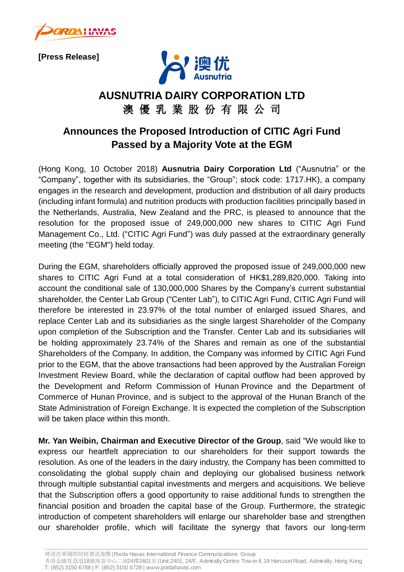

**[Press Release]**



## **AUSNUTRIA DAIRY CORPORATION LTD** 澳 優 乳 業 股 份 有 限 公 司

## **Announces the Proposed Introduction of CITIC Agri Fund Passed by a Majority Vote at the EGM**

(Hong Kong, 10 October 2018) **Ausnutria Dairy Corporation Ltd** ("Ausnutria" or the "Company", together with its subsidiaries, the "Group"; stock code: 1717.HK), a company engages in the research and development, production and distribution of all dairy products (including infant formula) and nutrition products with production facilities principally based in the Netherlands, Australia, New Zealand and the PRC, is pleased to announce that the resolution for the proposed issue of 249,000,000 new shares to CITIC Agri Fund Management Co., Ltd. ("CITIC Agri Fund") was duly passed at the extraordinary generally meeting (the "EGM") held today.

During the EGM, shareholders officially approved the proposed issue of 249,000,000 new shares to CITIC Agri Fund at a total consideration of HK\$1,289,820,000. Taking into account the conditional sale of 130,000,000 Shares by the Company's current substantial shareholder, the Center Lab Group ("Center Lab"), to CITIC Agri Fund, CITIC Agri Fund will therefore be interested in 23.97% of the total number of enlarged issued Shares, and replace Center Lab and its subsidiaries as the single largest Shareholder of the Company upon completion of the Subscription and the Transfer. Center Lab and its subsidiaries will be holding approximately 23.74% of the Shares and remain as one of the substantial Shareholders of the Company. In addition, the Company was informed by CITIC Agri Fund prior to the EGM, that the above transactions had been approved by the Australian Foreign Investment Review Board, while the declaration of capital outflow had been approved by the Development and Reform Commission of Hunan Province and the Department of Commerce of Hunan Province, and is subject to the approval of the Hunan Branch of the State Administration of Foreign Exchange. It is expected the completion of the Subscription will be taken place within this month.

**Mr. Yan Weibin, Chairman and Executive Director of the Group**, said "We would like to express our heartfelt appreciation to our shareholders for their support towards the resolution. As one of the leaders in the dairy industry, the Company has been committed to consolidating the global supply chain and deploying our globalised business network through multiple substantial capital investments and mergers and acquisitions. We believe that the Subscription offers a good opportunity to raise additional funds to strengthen the financial position and broaden the capital base of the Group. Furthermore, the strategic introduction of competent shareholders will enlarge our shareholder base and strengthen our shareholder profile, which will facilitate the synergy that favors our long-term

博達浩華國際財經傳訊集團| Porda Havas International Finance Communications Group

香港金鐘夏愨道18號海富中心二座24樓2401室| Unit 2401, 24/F, Admiralty Centre Tow er II, 18 Harcourt Road, Admiralty, Hong Kong T: (852) 3150 6788 | F: (852) 3150 6728 | www.pordahavas.com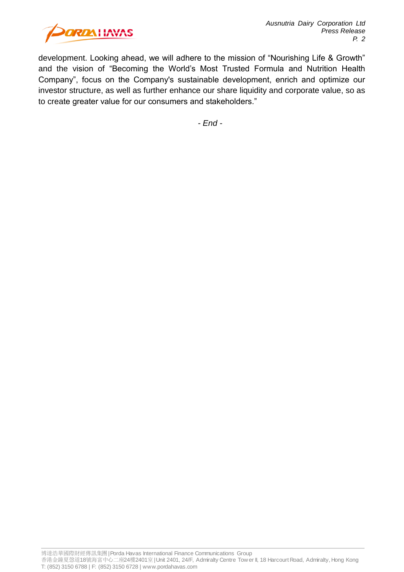

development. Looking ahead, we will adhere to the mission of "Nourishing Life & Growth" and the vision of "Becoming the World's Most Trusted Formula and Nutrition Health Company", focus on the Company's sustainable development, enrich and optimize our investor structure, as well as further enhance our share liquidity and corporate value, so as to create greater value for our consumers and stakeholders."

*- End -*

博達浩華國際財經傳訊集團| Porda Havas International Finance Communications Group

香港金鐘夏愨道18號海富中心二座24樓2401室| Unit 2401, 24/F, Admiralty Centre Tow er II, 18 Harcourt Road, Admiralty, Hong Kong T: (852) 3150 6788 | F: (852) 3150 6728 | www.pordahavas.com